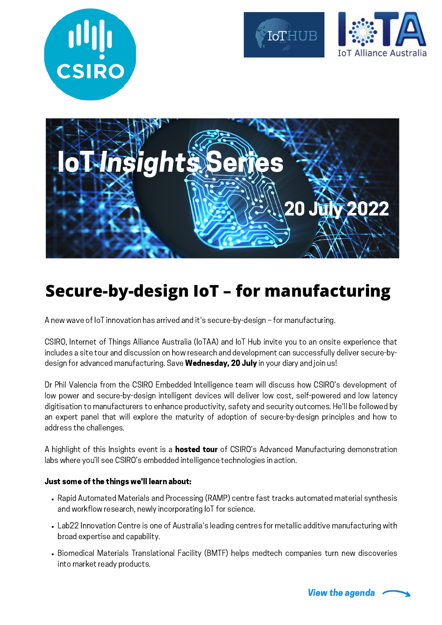







#### **Secure-by-design IoT – for manufacturing**

A new wave of IoT innovation has arrived and it's secure-by-design – for manufacturing.

CSIRO, Internet of Things Alliance Australia (IoTAA) and IoT Hub invite you to an onsite experience that includes a site tour and discussion on how research and development can successfully deliver secure-bydesign for advanced manufacturing. Save Wednesday, 20 July in your diary and join us!

Dr Phil Valencia from the CSIRO Embedded Intelligence team will discuss how CSIRO's development of low power and secure-by-design intelligent devices will deliver low cost, self-powered and low latency digitisation to manufacturers to enhance productivity, safety and security outcomes. He'll be followed by an expert panel that will explore the maturity of adoption of secure-by-design principles and how to address the challenges.

A highlight of this Insights event is a **hosted tour** of CSIRO's Advanced Manufacturing demonstration labs where you'll see CSIRO's embedded intelligence technologies in action.

#### Just some of the things we'll learn about:

- Rapid Automated Materials and Processing (RAMP) centre fast tracks automated material synthesis and workflow research, newly incorporating IoT for science.
- Lab22 Innovation Centre is one of Australia's leading centres for metallic additive manufacturing with broad expertise and capability.
- Biomedical Materials Translational Facility (BMTF) helps medtech companies turn new discoveries into market ready products.

View the agenda <